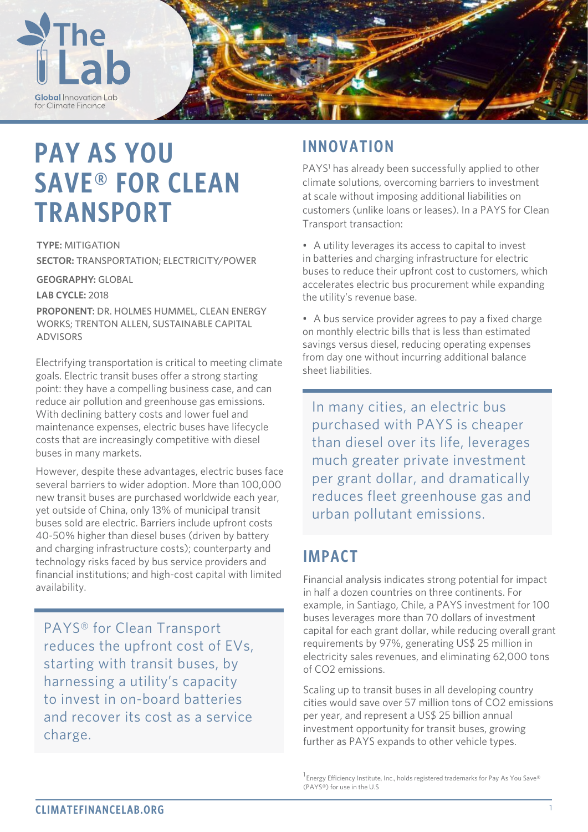

# **PAY AS YOU SAVE® FOR CLEAN TRANSPORT**

**TYPE:** MITIGATION **SECTOR:** TRANSPORTATION; ELECTRICITY/POWER

**GEOGRAPHY:** GLOBAL

**LAB CYCLE:** 2018

**PROPONENT:** DR. HOLMES HUMMEL, CLEAN ENERGY WORKS; TRENTON ALLEN, SUSTAINABLE CAPITAL ADVISORS

Electrifying transportation is critical to meeting climate goals. Electric transit buses offer a strong starting point: they have a compelling business case, and can reduce air pollution and greenhouse gas emissions. With declining battery costs and lower fuel and maintenance expenses, electric buses have lifecycle costs that are increasingly competitive with diesel buses in many markets.

However, despite these advantages, electric buses face several barriers to wider adoption. More than 100,000 new transit buses are purchased worldwide each year, yet outside of China, only 13% of municipal transit buses sold are electric. Barriers include upfront costs 40-50% higher than diesel buses (driven by battery and charging infrastructure costs); counterparty and technology risks faced by bus service providers and financial institutions; and high-cost capital with limited availability.

PAYS® for Clean Transport reduces the upfront cost of EVs, starting with transit buses, by harnessing a utility's capacity to invest in on-board batteries and recover its cost as a service charge.

## **INNOVATION**

PAYS<sup>1</sup> has already been successfully applied to other climate solutions, overcoming barriers to investment at scale without imposing additional liabilities on customers (unlike loans or leases). In a PAYS for Clean Transport transaction:

• A utility leverages its access to capital to invest in batteries and charging infrastructure for electric buses to reduce their upfront cost to customers, which accelerates electric bus procurement while expanding the utility's revenue base.

• A bus service provider agrees to pay a fixed charge on monthly electric bills that is less than estimated savings versus diesel, reducing operating expenses from day one without incurring additional balance sheet liabilities.

In many cities, an electric bus purchased with PAYS is cheaper than diesel over its life, leverages much greater private investment per grant dollar, and dramatically reduces fleet greenhouse gas and urban pollutant emissions.

## **IMPACT**

Financial analysis indicates strong potential for impact in half a dozen countries on three continents. For example, in Santiago, Chile, a PAYS investment for 100 buses leverages more than 70 dollars of investment capital for each grant dollar, while reducing overall grant requirements by 97%, generating US\$ 25 million in electricity sales revenues, and eliminating 62,000 tons of CO2 emissions.

Scaling up to transit buses in all developing country cities would save over 57 million tons of CO2 emissions per year, and represent a US\$ 25 billion annual investment opportunity for transit buses, growing further as PAYS expands to other vehicle types.

 $^1$ Energy Efficiency Institute, Inc., holds registered trademarks for Pay As You Save® (PAYS®) for use in the U.S